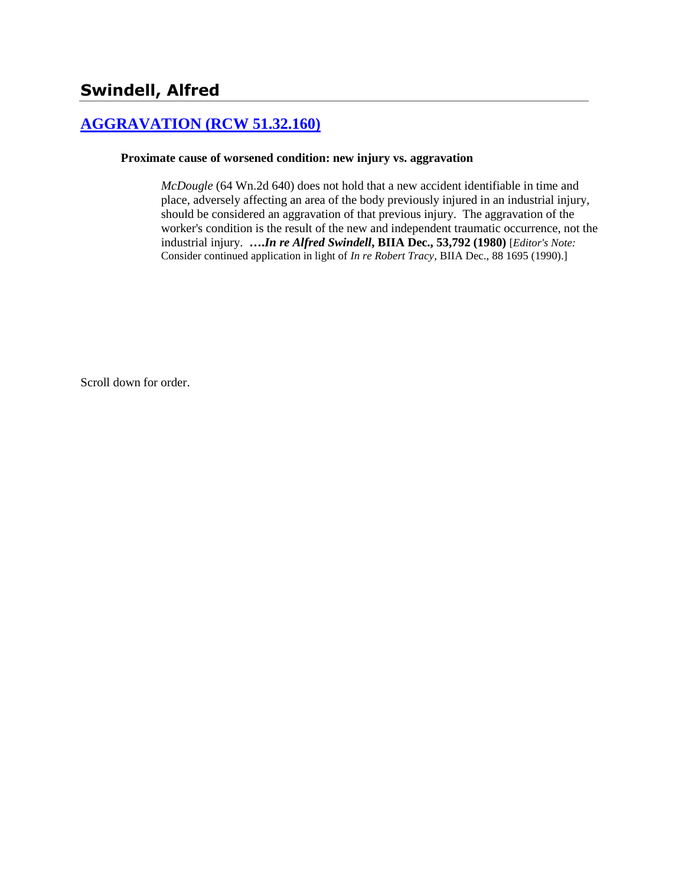# **[AGGRAVATION \(RCW 51.32.160\)](http://www.biia.wa.gov/SDSubjectIndex.html#AGGRAVATION)**

#### **Proximate cause of worsened condition: new injury vs. aggravation**

*McDougle* (64 Wn.2d 640) does not hold that a new accident identifiable in time and place, adversely affecting an area of the body previously injured in an industrial injury, should be considered an aggravation of that previous injury. The aggravation of the worker's condition is the result of the new and independent traumatic occurrence, not the industrial injury. **….***In re Alfred Swindell***, BIIA Dec., 53,792 (1980)** [*Editor's Note:* Consider continued application in light of *In re Robert Tracy*, BIIA Dec., 88 1695 (1990).]

Scroll down for order.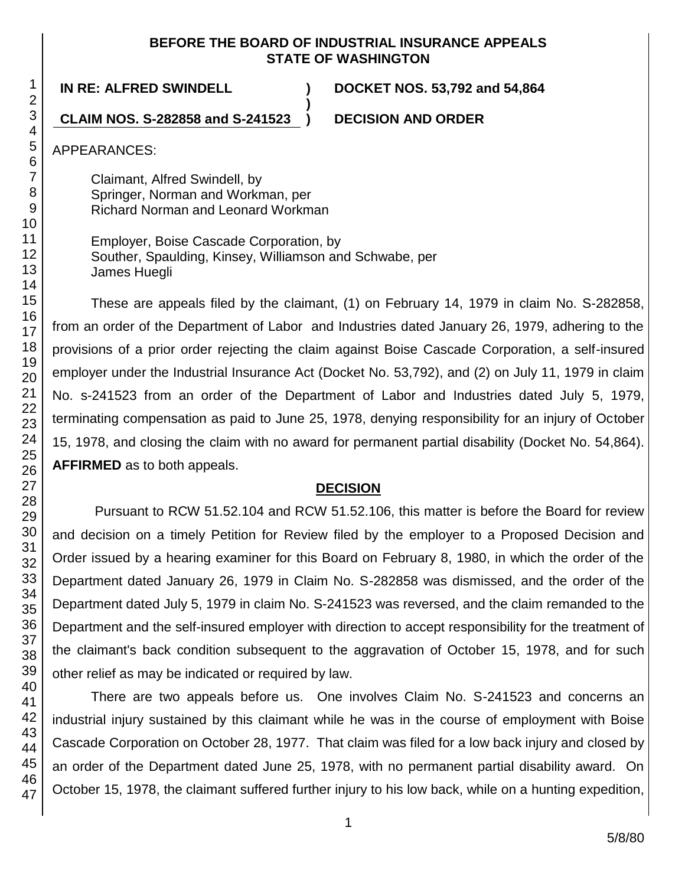#### **BEFORE THE BOARD OF INDUSTRIAL INSURANCE APPEALS STATE OF WASHINGTON**

**)**

**IN RE: ALFRED SWINDELL ) DOCKET NOS. 53,792 and 54,864**

**CLAIM NOS. S-282858 and S-241523 ) DECISION AND ORDER**

APPEARANCES:

Claimant, Alfred Swindell, by Springer, Norman and Workman, per Richard Norman and Leonard Workman

Employer, Boise Cascade Corporation, by Souther, Spaulding, Kinsey, Williamson and Schwabe, per James Huegli

These are appeals filed by the claimant, (1) on February 14, 1979 in claim No. S-282858, from an order of the Department of Labor and Industries dated January 26, 1979, adhering to the provisions of a prior order rejecting the claim against Boise Cascade Corporation, a self-insured employer under the Industrial Insurance Act (Docket No. 53,792), and (2) on July 11, 1979 in claim No. s-241523 from an order of the Department of Labor and Industries dated July 5, 1979, terminating compensation as paid to June 25, 1978, denying responsibility for an injury of October 15, 1978, and closing the claim with no award for permanent partial disability (Docket No. 54,864). **AFFIRMED** as to both appeals.

## **DECISION**

Pursuant to RCW 51.52.104 and RCW 51.52.106, this matter is before the Board for review and decision on a timely Petition for Review filed by the employer to a Proposed Decision and Order issued by a hearing examiner for this Board on February 8, 1980, in which the order of the Department dated January 26, 1979 in Claim No. S-282858 was dismissed, and the order of the Department dated July 5, 1979 in claim No. S-241523 was reversed, and the claim remanded to the Department and the self-insured employer with direction to accept responsibility for the treatment of the claimant's back condition subsequent to the aggravation of October 15, 1978, and for such other relief as may be indicated or required by law.

There are two appeals before us. One involves Claim No. S-241523 and concerns an industrial injury sustained by this claimant while he was in the course of employment with Boise Cascade Corporation on October 28, 1977. That claim was filed for a low back injury and closed by an order of the Department dated June 25, 1978, with no permanent partial disability award. On October 15, 1978, the claimant suffered further injury to his low back, while on a hunting expedition,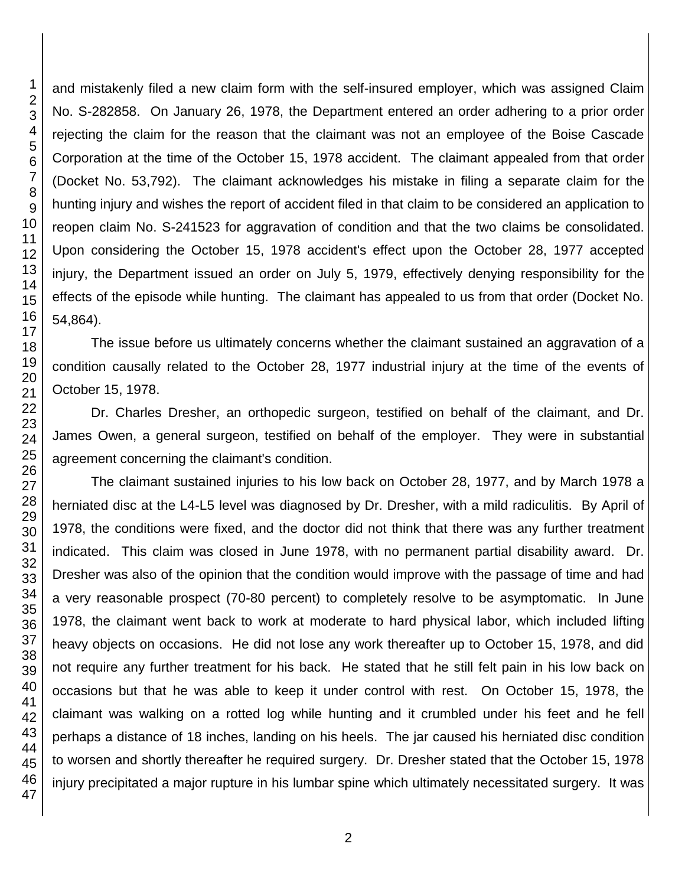and mistakenly filed a new claim form with the self-insured employer, which was assigned Claim No. S-282858. On January 26, 1978, the Department entered an order adhering to a prior order rejecting the claim for the reason that the claimant was not an employee of the Boise Cascade Corporation at the time of the October 15, 1978 accident. The claimant appealed from that order (Docket No. 53,792). The claimant acknowledges his mistake in filing a separate claim for the hunting injury and wishes the report of accident filed in that claim to be considered an application to reopen claim No. S-241523 for aggravation of condition and that the two claims be consolidated. Upon considering the October 15, 1978 accident's effect upon the October 28, 1977 accepted injury, the Department issued an order on July 5, 1979, effectively denying responsibility for the effects of the episode while hunting. The claimant has appealed to us from that order (Docket No. 54,864).

The issue before us ultimately concerns whether the claimant sustained an aggravation of a condition causally related to the October 28, 1977 industrial injury at the time of the events of October 15, 1978.

Dr. Charles Dresher, an orthopedic surgeon, testified on behalf of the claimant, and Dr. James Owen, a general surgeon, testified on behalf of the employer. They were in substantial agreement concerning the claimant's condition.

The claimant sustained injuries to his low back on October 28, 1977, and by March 1978 a herniated disc at the L4-L5 level was diagnosed by Dr. Dresher, with a mild radiculitis. By April of 1978, the conditions were fixed, and the doctor did not think that there was any further treatment indicated. This claim was closed in June 1978, with no permanent partial disability award. Dr. Dresher was also of the opinion that the condition would improve with the passage of time and had a very reasonable prospect (70-80 percent) to completely resolve to be asymptomatic. In June 1978, the claimant went back to work at moderate to hard physical labor, which included lifting heavy objects on occasions. He did not lose any work thereafter up to October 15, 1978, and did not require any further treatment for his back. He stated that he still felt pain in his low back on occasions but that he was able to keep it under control with rest. On October 15, 1978, the claimant was walking on a rotted log while hunting and it crumbled under his feet and he fell perhaps a distance of 18 inches, landing on his heels. The jar caused his herniated disc condition to worsen and shortly thereafter he required surgery. Dr. Dresher stated that the October 15, 1978 injury precipitated a major rupture in his lumbar spine which ultimately necessitated surgery. It was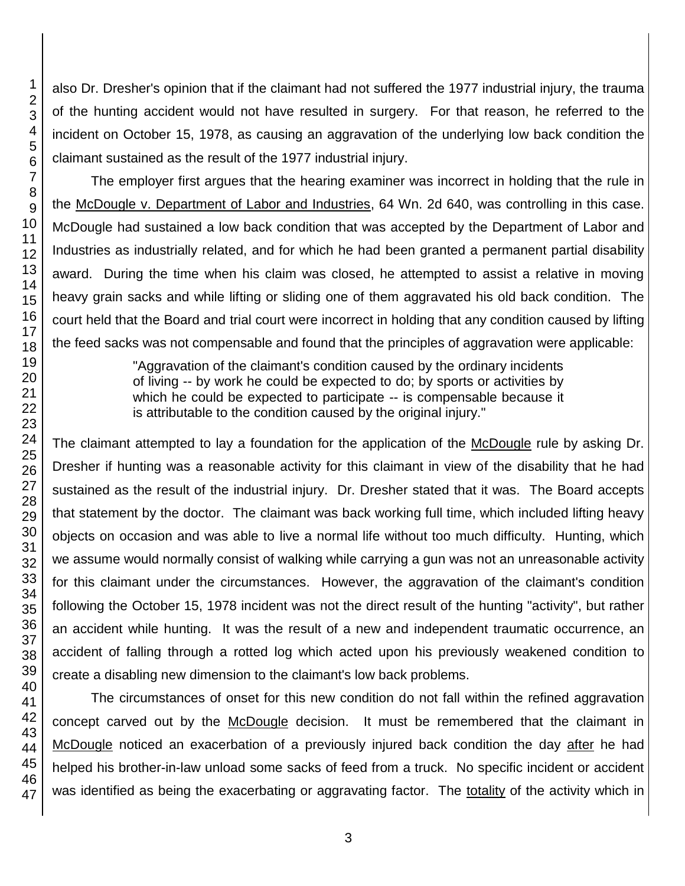also Dr. Dresher's opinion that if the claimant had not suffered the 1977 industrial injury, the trauma of the hunting accident would not have resulted in surgery. For that reason, he referred to the incident on October 15, 1978, as causing an aggravation of the underlying low back condition the claimant sustained as the result of the 1977 industrial injury.

The employer first argues that the hearing examiner was incorrect in holding that the rule in the McDougle v. Department of Labor and Industries, 64 Wn. 2d 640, was controlling in this case. McDougle had sustained a low back condition that was accepted by the Department of Labor and Industries as industrially related, and for which he had been granted a permanent partial disability award. During the time when his claim was closed, he attempted to assist a relative in moving heavy grain sacks and while lifting or sliding one of them aggravated his old back condition. The court held that the Board and trial court were incorrect in holding that any condition caused by lifting the feed sacks was not compensable and found that the principles of aggravation were applicable:

> "Aggravation of the claimant's condition caused by the ordinary incidents of living -- by work he could be expected to do; by sports or activities by which he could be expected to participate -- is compensable because it is attributable to the condition caused by the original injury."

The claimant attempted to lay a foundation for the application of the McDougle rule by asking Dr. Dresher if hunting was a reasonable activity for this claimant in view of the disability that he had sustained as the result of the industrial injury. Dr. Dresher stated that it was. The Board accepts that statement by the doctor. The claimant was back working full time, which included lifting heavy objects on occasion and was able to live a normal life without too much difficulty. Hunting, which we assume would normally consist of walking while carrying a gun was not an unreasonable activity for this claimant under the circumstances. However, the aggravation of the claimant's condition following the October 15, 1978 incident was not the direct result of the hunting "activity", but rather an accident while hunting. It was the result of a new and independent traumatic occurrence, an accident of falling through a rotted log which acted upon his previously weakened condition to create a disabling new dimension to the claimant's low back problems.

The circumstances of onset for this new condition do not fall within the refined aggravation concept carved out by the McDougle decision. It must be remembered that the claimant in McDougle noticed an exacerbation of a previously injured back condition the day after he had helped his brother-in-law unload some sacks of feed from a truck. No specific incident or accident was identified as being the exacerbating or aggravating factor. The totality of the activity which in

1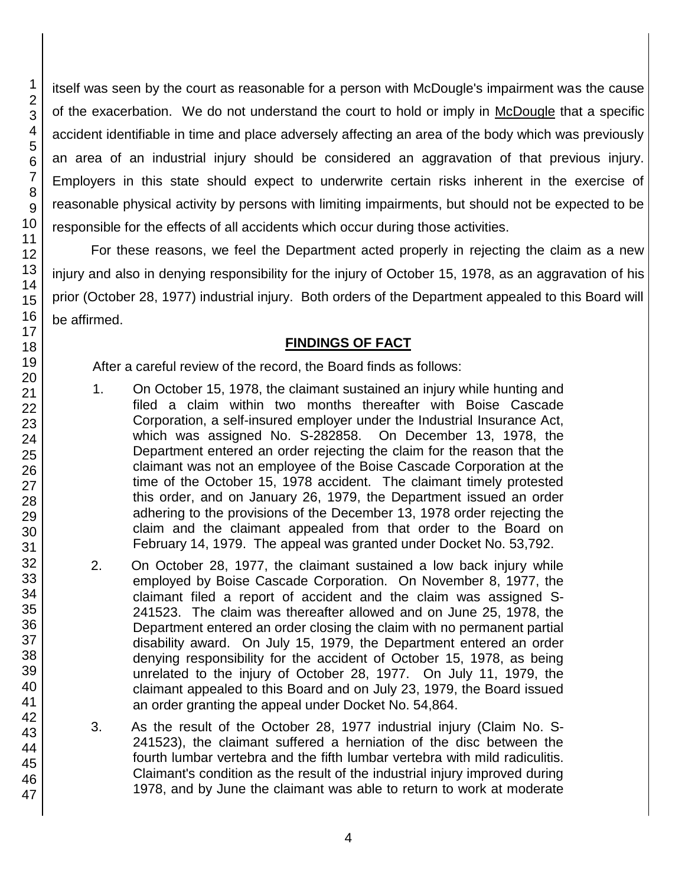itself was seen by the court as reasonable for a person with McDougle's impairment was the cause of the exacerbation. We do not understand the court to hold or imply in McDougle that a specific accident identifiable in time and place adversely affecting an area of the body which was previously an area of an industrial injury should be considered an aggravation of that previous injury. Employers in this state should expect to underwrite certain risks inherent in the exercise of reasonable physical activity by persons with limiting impairments, but should not be expected to be responsible for the effects of all accidents which occur during those activities.

For these reasons, we feel the Department acted properly in rejecting the claim as a new injury and also in denying responsibility for the injury of October 15, 1978, as an aggravation of his prior (October 28, 1977) industrial injury. Both orders of the Department appealed to this Board will be affirmed.

## **FINDINGS OF FACT**

After a careful review of the record, the Board finds as follows:

- 1. On October 15, 1978, the claimant sustained an injury while hunting and filed a claim within two months thereafter with Boise Cascade Corporation, a self-insured employer under the Industrial Insurance Act, which was assigned No. S-282858. On December 13, 1978, the Department entered an order rejecting the claim for the reason that the claimant was not an employee of the Boise Cascade Corporation at the time of the October 15, 1978 accident. The claimant timely protested this order, and on January 26, 1979, the Department issued an order adhering to the provisions of the December 13, 1978 order rejecting the claim and the claimant appealed from that order to the Board on February 14, 1979. The appeal was granted under Docket No. 53,792.
- 2. On October 28, 1977, the claimant sustained a low back injury while employed by Boise Cascade Corporation. On November 8, 1977, the claimant filed a report of accident and the claim was assigned S-241523. The claim was thereafter allowed and on June 25, 1978, the Department entered an order closing the claim with no permanent partial disability award. On July 15, 1979, the Department entered an order denying responsibility for the accident of October 15, 1978, as being unrelated to the injury of October 28, 1977. On July 11, 1979, the claimant appealed to this Board and on July 23, 1979, the Board issued an order granting the appeal under Docket No. 54,864.
- 3. As the result of the October 28, 1977 industrial injury (Claim No. S-241523), the claimant suffered a herniation of the disc between the fourth lumbar vertebra and the fifth lumbar vertebra with mild radiculitis. Claimant's condition as the result of the industrial injury improved during 1978, and by June the claimant was able to return to work at moderate